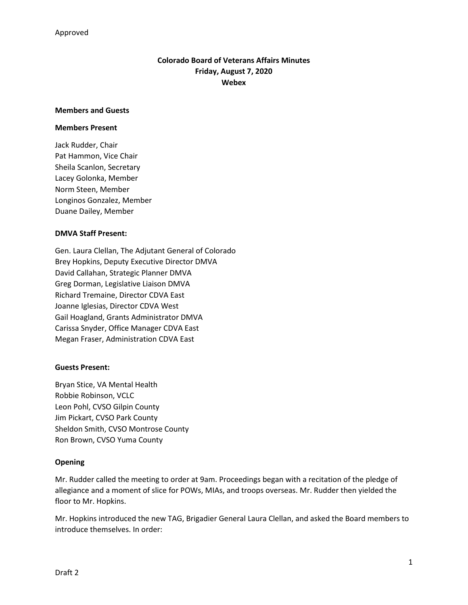# **Colorado Board of Veterans Affairs Minutes Friday, August 7, 2020 Webex**

#### **Members and Guests**

#### **Members Present**

Jack Rudder, Chair Pat Hammon, Vice Chair Sheila Scanlon, Secretary Lacey Golonka, Member Norm Steen, Member Longinos Gonzalez, Member Duane Dailey, Member

## **DMVA Staff Present:**

Gen. Laura Clellan, The Adjutant General of Colorado Brey Hopkins, Deputy Executive Director DMVA David Callahan, Strategic Planner DMVA Greg Dorman, Legislative Liaison DMVA Richard Tremaine, Director CDVA East Joanne Iglesias, Director CDVA West Gail Hoagland, Grants Administrator DMVA Carissa Snyder, Office Manager CDVA East Megan Fraser, Administration CDVA East

## **Guests Present:**

Bryan Stice, VA Mental Health Robbie Robinson, VCLC Leon Pohl, CVSO Gilpin County Jim Pickart, CVSO Park County Sheldon Smith, CVSO Montrose County Ron Brown, CVSO Yuma County

## **Opening**

Mr. Rudder called the meeting to order at 9am. Proceedings began with a recitation of the pledge of allegiance and a moment of slice for POWs, MIAs, and troops overseas. Mr. Rudder then yielded the floor to Mr. Hopkins.

Mr. Hopkins introduced the new TAG, Brigadier General Laura Clellan, and asked the Board members to introduce themselves. In order: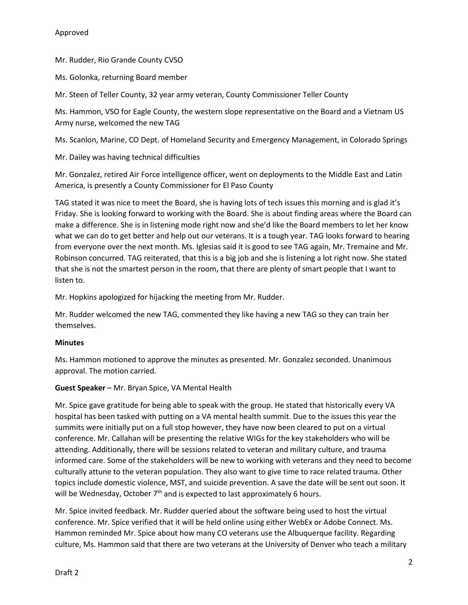Mr. Rudder, Rio Grande County CVSO

Ms. Golonka, returning Board member

Mr. Steen of Teller County, 32 year army veteran, County Commissioner Teller County

Ms. Hammon, VSO for Eagle County, the western slope representative on the Board and a Vietnam US Army nurse, welcomed the new TAG

Ms. Scanlon, Marine, CO Dept. of Homeland Security and Emergency Management, in Colorado Springs

Mr. Dailey was having technical difficulties

Mr. Gonzalez, retired Air Force intelligence officer, went on deployments to the Middle East and Latin America, is presently a County Commissioner for El Paso County

TAG stated it was nice to meet the Board, she is having lots of tech issues this morning and is glad it's Friday. She is looking forward to working with the Board. She is about finding areas where the Board can make a difference. She is in listening mode right now and she'd like the Board members to let her know what we can do to get better and help out our veterans. It is a tough year. TAG looks forward to hearing from everyone over the next month. Ms. Iglesias said it is good to see TAG again, Mr. Tremaine and Mr. Robinson concurred. TAG reiterated, that this is a big job and she is listening a lot right now. She stated that she is not the smartest person in the room, that there are plenty of smart people that I want to listen to.

Mr. Hopkins apologized for hijacking the meeting from Mr. Rudder.

Mr. Rudder welcomed the new TAG, commented they like having a new TAG so they can train her themselves.

## **Minutes**

Ms. Hammon motioned to approve the minutes as presented. Mr. Gonzalez seconded. Unanimous approval. The motion carried.

**Guest Speaker** – Mr. Bryan Spice, VA Mental Health

Mr. Spice gave gratitude for being able to speak with the group. He stated that historically every VA hospital has been tasked with putting on a VA mental health summit. Due to the issues this year the summits were initially put on a full stop however, they have now been cleared to put on a virtual conference. Mr. Callahan will be presenting the relative WIGs for the key stakeholders who will be attending. Additionally, there will be sessions related to veteran and military culture, and trauma informed care. Some of the stakeholders will be new to working with veterans and they need to become culturally attune to the veteran population. They also want to give time to race related trauma. Other topics include domestic violence, MST, and suicide prevention. A save the date will be sent out soon. It will be Wednesday, October  $7<sup>th</sup>$  and is expected to last approximately 6 hours.

Mr. Spice invited feedback. Mr. Rudder queried about the software being used to host the virtual conference. Mr. Spice verified that it will be held online using either WebEx or Adobe Connect. Ms. Hammon reminded Mr. Spice about how many CO veterans use the Albuquerque facility. Regarding culture, Ms. Hammon said that there are two veterans at the University of Denver who teach a military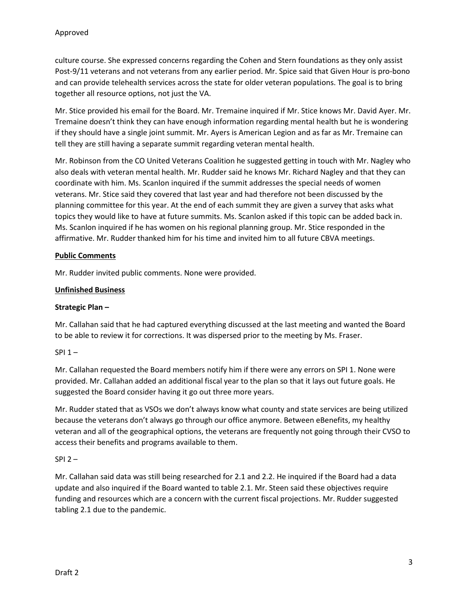culture course. She expressed concerns regarding the Cohen and Stern foundations as they only assist Post-9/11 veterans and not veterans from any earlier period. Mr. Spice said that Given Hour is pro-bono and can provide telehealth services across the state for older veteran populations. The goal is to bring together all resource options, not just the VA.

Mr. Stice provided his email for the Board. Mr. Tremaine inquired if Mr. Stice knows Mr. David Ayer. Mr. Tremaine doesn't think they can have enough information regarding mental health but he is wondering if they should have a single joint summit. Mr. Ayers is American Legion and as far as Mr. Tremaine can tell they are still having a separate summit regarding veteran mental health.

Mr. Robinson from the CO United Veterans Coalition he suggested getting in touch with Mr. Nagley who also deals with veteran mental health. Mr. Rudder said he knows Mr. Richard Nagley and that they can coordinate with him. Ms. Scanlon inquired if the summit addresses the special needs of women veterans. Mr. Stice said they covered that last year and had therefore not been discussed by the planning committee for this year. At the end of each summit they are given a survey that asks what topics they would like to have at future summits. Ms. Scanlon asked if this topic can be added back in. Ms. Scanlon inquired if he has women on his regional planning group. Mr. Stice responded in the affirmative. Mr. Rudder thanked him for his time and invited him to all future CBVA meetings.

## **Public Comments**

Mr. Rudder invited public comments. None were provided.

## **Unfinished Business**

## **Strategic Plan –**

Mr. Callahan said that he had captured everything discussed at the last meeting and wanted the Board to be able to review it for corrections. It was dispersed prior to the meeting by Ms. Fraser.

## $SPI 1 -$

Mr. Callahan requested the Board members notify him if there were any errors on SPI 1. None were provided. Mr. Callahan added an additional fiscal year to the plan so that it lays out future goals. He suggested the Board consider having it go out three more years.

Mr. Rudder stated that as VSOs we don't always know what county and state services are being utilized because the veterans don't always go through our office anymore. Between eBenefits, my healthy veteran and all of the geographical options, the veterans are frequently not going through their CVSO to access their benefits and programs available to them.

## SPI 2 –

Mr. Callahan said data was still being researched for 2.1 and 2.2. He inquired if the Board had a data update and also inquired if the Board wanted to table 2.1. Mr. Steen said these objectives require funding and resources which are a concern with the current fiscal projections. Mr. Rudder suggested tabling 2.1 due to the pandemic.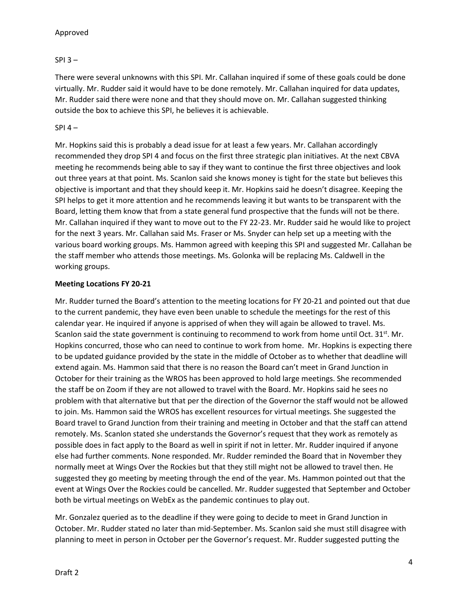## Approved

## $SPI$  3 –

There were several unknowns with this SPI. Mr. Callahan inquired if some of these goals could be done virtually. Mr. Rudder said it would have to be done remotely. Mr. Callahan inquired for data updates, Mr. Rudder said there were none and that they should move on. Mr. Callahan suggested thinking outside the box to achieve this SPI, he believes it is achievable.

## $SPI 4 -$

Mr. Hopkins said this is probably a dead issue for at least a few years. Mr. Callahan accordingly recommended they drop SPI 4 and focus on the first three strategic plan initiatives. At the next CBVA meeting he recommends being able to say if they want to continue the first three objectives and look out three years at that point. Ms. Scanlon said she knows money is tight for the state but believes this objective is important and that they should keep it. Mr. Hopkins said he doesn't disagree. Keeping the SPI helps to get it more attention and he recommends leaving it but wants to be transparent with the Board, letting them know that from a state general fund prospective that the funds will not be there. Mr. Callahan inquired if they want to move out to the FY 22-23. Mr. Rudder said he would like to project for the next 3 years. Mr. Callahan said Ms. Fraser or Ms. Snyder can help set up a meeting with the various board working groups. Ms. Hammon agreed with keeping this SPI and suggested Mr. Callahan be the staff member who attends those meetings. Ms. Golonka will be replacing Ms. Caldwell in the working groups.

## **Meeting Locations FY 20-21**

Mr. Rudder turned the Board's attention to the meeting locations for FY 20-21 and pointed out that due to the current pandemic, they have even been unable to schedule the meetings for the rest of this calendar year. He inquired if anyone is apprised of when they will again be allowed to travel. Ms. Scanlon said the state government is continuing to recommend to work from home until Oct.  $31<sup>st</sup>$ . Mr. Hopkins concurred, those who can need to continue to work from home. Mr. Hopkins is expecting there to be updated guidance provided by the state in the middle of October as to whether that deadline will extend again. Ms. Hammon said that there is no reason the Board can't meet in Grand Junction in October for their training as the WROS has been approved to hold large meetings. She recommended the staff be on Zoom if they are not allowed to travel with the Board. Mr. Hopkins said he sees no problem with that alternative but that per the direction of the Governor the staff would not be allowed to join. Ms. Hammon said the WROS has excellent resources for virtual meetings. She suggested the Board travel to Grand Junction from their training and meeting in October and that the staff can attend remotely. Ms. Scanlon stated she understands the Governor's request that they work as remotely as possible does in fact apply to the Board as well in spirit if not in letter. Mr. Rudder inquired if anyone else had further comments. None responded. Mr. Rudder reminded the Board that in November they normally meet at Wings Over the Rockies but that they still might not be allowed to travel then. He suggested they go meeting by meeting through the end of the year. Ms. Hammon pointed out that the event at Wings Over the Rockies could be cancelled. Mr. Rudder suggested that September and October both be virtual meetings on WebEx as the pandemic continues to play out.

Mr. Gonzalez queried as to the deadline if they were going to decide to meet in Grand Junction in October. Mr. Rudder stated no later than mid-September. Ms. Scanlon said she must still disagree with planning to meet in person in October per the Governor's request. Mr. Rudder suggested putting the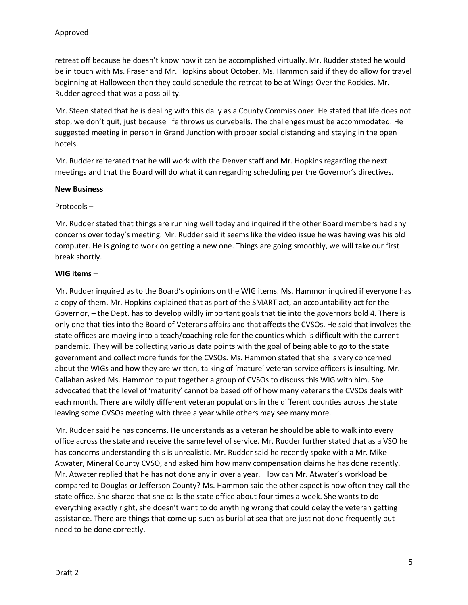retreat off because he doesn't know how it can be accomplished virtually. Mr. Rudder stated he would be in touch with Ms. Fraser and Mr. Hopkins about October. Ms. Hammon said if they do allow for travel beginning at Halloween then they could schedule the retreat to be at Wings Over the Rockies. Mr. Rudder agreed that was a possibility.

Mr. Steen stated that he is dealing with this daily as a County Commissioner. He stated that life does not stop, we don't quit, just because life throws us curveballs. The challenges must be accommodated. He suggested meeting in person in Grand Junction with proper social distancing and staying in the open hotels.

Mr. Rudder reiterated that he will work with the Denver staff and Mr. Hopkins regarding the next meetings and that the Board will do what it can regarding scheduling per the Governor's directives.

#### **New Business**

#### Protocols –

Mr. Rudder stated that things are running well today and inquired if the other Board members had any concerns over today's meeting. Mr. Rudder said it seems like the video issue he was having was his old computer. He is going to work on getting a new one. Things are going smoothly, we will take our first break shortly.

#### **WIG items** –

Mr. Rudder inquired as to the Board's opinions on the WIG items. Ms. Hammon inquired if everyone has a copy of them. Mr. Hopkins explained that as part of the SMART act, an accountability act for the Governor, – the Dept. has to develop wildly important goals that tie into the governors bold 4. There is only one that ties into the Board of Veterans affairs and that affects the CVSOs. He said that involves the state offices are moving into a teach/coaching role for the counties which is difficult with the current pandemic. They will be collecting various data points with the goal of being able to go to the state government and collect more funds for the CVSOs. Ms. Hammon stated that she is very concerned about the WIGs and how they are written, talking of 'mature' veteran service officers is insulting. Mr. Callahan asked Ms. Hammon to put together a group of CVSOs to discuss this WIG with him. She advocated that the level of 'maturity' cannot be based off of how many veterans the CVSOs deals with each month. There are wildly different veteran populations in the different counties across the state leaving some CVSOs meeting with three a year while others may see many more.

Mr. Rudder said he has concerns. He understands as a veteran he should be able to walk into every office across the state and receive the same level of service. Mr. Rudder further stated that as a VSO he has concerns understanding this is unrealistic. Mr. Rudder said he recently spoke with a Mr. Mike Atwater, Mineral County CVSO, and asked him how many compensation claims he has done recently. Mr. Atwater replied that he has not done any in over a year. How can Mr. Atwater's workload be compared to Douglas or Jefferson County? Ms. Hammon said the other aspect is how often they call the state office. She shared that she calls the state office about four times a week. She wants to do everything exactly right, she doesn't want to do anything wrong that could delay the veteran getting assistance. There are things that come up such as burial at sea that are just not done frequently but need to be done correctly.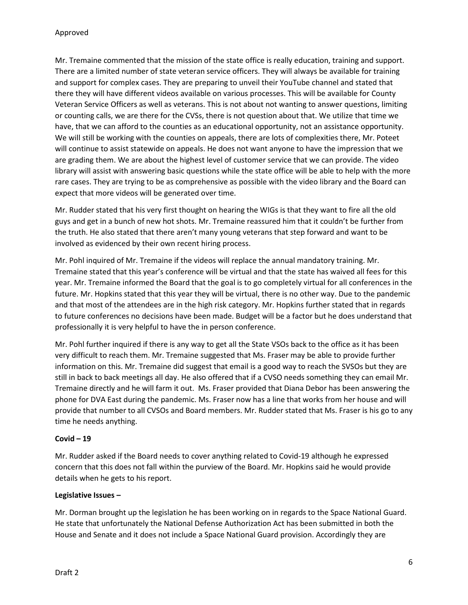Mr. Tremaine commented that the mission of the state office is really education, training and support. There are a limited number of state veteran service officers. They will always be available for training and support for complex cases. They are preparing to unveil their YouTube channel and stated that there they will have different videos available on various processes. This will be available for County Veteran Service Officers as well as veterans. This is not about not wanting to answer questions, limiting or counting calls, we are there for the CVSs, there is not question about that. We utilize that time we have, that we can afford to the counties as an educational opportunity, not an assistance opportunity. We will still be working with the counties on appeals, there are lots of complexities there, Mr. Poteet will continue to assist statewide on appeals. He does not want anyone to have the impression that we are grading them. We are about the highest level of customer service that we can provide. The video library will assist with answering basic questions while the state office will be able to help with the more rare cases. They are trying to be as comprehensive as possible with the video library and the Board can expect that more videos will be generated over time.

Mr. Rudder stated that his very first thought on hearing the WIGs is that they want to fire all the old guys and get in a bunch of new hot shots. Mr. Tremaine reassured him that it couldn't be further from the truth. He also stated that there aren't many young veterans that step forward and want to be involved as evidenced by their own recent hiring process.

Mr. Pohl inquired of Mr. Tremaine if the videos will replace the annual mandatory training. Mr. Tremaine stated that this year's conference will be virtual and that the state has waived all fees for this year. Mr. Tremaine informed the Board that the goal is to go completely virtual for all conferences in the future. Mr. Hopkins stated that this year they will be virtual, there is no other way. Due to the pandemic and that most of the attendees are in the high risk category. Mr. Hopkins further stated that in regards to future conferences no decisions have been made. Budget will be a factor but he does understand that professionally it is very helpful to have the in person conference.

Mr. Pohl further inquired if there is any way to get all the State VSOs back to the office as it has been very difficult to reach them. Mr. Tremaine suggested that Ms. Fraser may be able to provide further information on this. Mr. Tremaine did suggest that email is a good way to reach the SVSOs but they are still in back to back meetings all day. He also offered that if a CVSO needs something they can email Mr. Tremaine directly and he will farm it out. Ms. Fraser provided that Diana Debor has been answering the phone for DVA East during the pandemic. Ms. Fraser now has a line that works from her house and will provide that number to all CVSOs and Board members. Mr. Rudder stated that Ms. Fraser is his go to any time he needs anything.

## **Covid – 19**

Mr. Rudder asked if the Board needs to cover anything related to Covid-19 although he expressed concern that this does not fall within the purview of the Board. Mr. Hopkins said he would provide details when he gets to his report.

#### **Legislative Issues –**

Mr. Dorman brought up the legislation he has been working on in regards to the Space National Guard. He state that unfortunately the National Defense Authorization Act has been submitted in both the House and Senate and it does not include a Space National Guard provision. Accordingly they are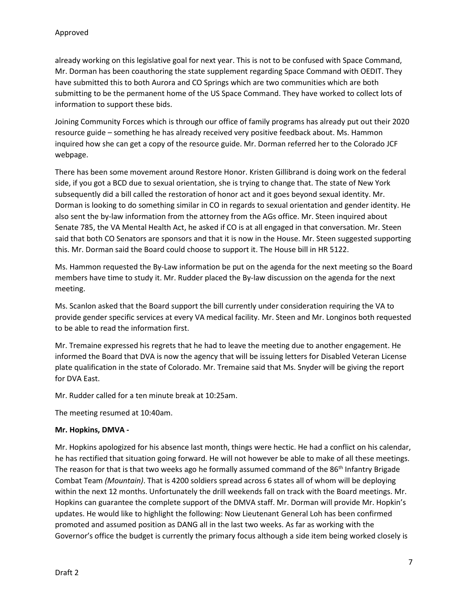already working on this legislative goal for next year. This is not to be confused with Space Command, Mr. Dorman has been coauthoring the state supplement regarding Space Command with OEDIT. They have submitted this to both Aurora and CO Springs which are two communities which are both submitting to be the permanent home of the US Space Command. They have worked to collect lots of information to support these bids.

Joining Community Forces which is through our office of family programs has already put out their 2020 resource guide – something he has already received very positive feedback about. Ms. Hammon inquired how she can get a copy of the resource guide. Mr. Dorman referred her to the Colorado JCF webpage.

There has been some movement around Restore Honor. Kristen Gillibrand is doing work on the federal side, if you got a BCD due to sexual orientation, she is trying to change that. The state of New York subsequently did a bill called the restoration of honor act and it goes beyond sexual identity. Mr. Dorman is looking to do something similar in CO in regards to sexual orientation and gender identity. He also sent the by-law information from the attorney from the AGs office. Mr. Steen inquired about Senate 785, the VA Mental Health Act, he asked if CO is at all engaged in that conversation. Mr. Steen said that both CO Senators are sponsors and that it is now in the House. Mr. Steen suggested supporting this. Mr. Dorman said the Board could choose to support it. The House bill in HR 5122.

Ms. Hammon requested the By-Law information be put on the agenda for the next meeting so the Board members have time to study it. Mr. Rudder placed the By-law discussion on the agenda for the next meeting.

Ms. Scanlon asked that the Board support the bill currently under consideration requiring the VA to provide gender specific services at every VA medical facility. Mr. Steen and Mr. Longinos both requested to be able to read the information first.

Mr. Tremaine expressed his regrets that he had to leave the meeting due to another engagement. He informed the Board that DVA is now the agency that will be issuing letters for Disabled Veteran License plate qualification in the state of Colorado. Mr. Tremaine said that Ms. Snyder will be giving the report for DVA East.

Mr. Rudder called for a ten minute break at 10:25am.

The meeting resumed at 10:40am.

## **Mr. Hopkins, DMVA -**

Mr. Hopkins apologized for his absence last month, things were hectic. He had a conflict on his calendar, he has rectified that situation going forward. He will not however be able to make of all these meetings. The reason for that is that two weeks ago he formally assumed command of the 86<sup>th</sup> Infantry Brigade Combat Team *(Mountain)*. That is 4200 soldiers spread across 6 states all of whom will be deploying within the next 12 months. Unfortunately the drill weekends fall on track with the Board meetings. Mr. Hopkins can guarantee the complete support of the DMVA staff. Mr. Dorman will provide Mr. Hopkin's updates. He would like to highlight the following: Now Lieutenant General Loh has been confirmed promoted and assumed position as DANG all in the last two weeks. As far as working with the Governor's office the budget is currently the primary focus although a side item being worked closely is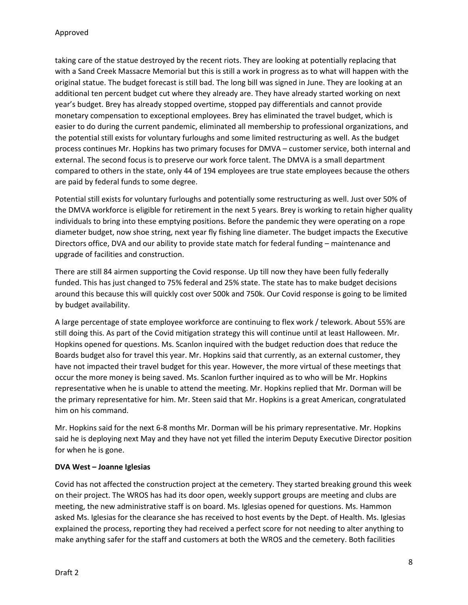taking care of the statue destroyed by the recent riots. They are looking at potentially replacing that with a Sand Creek Massacre Memorial but this is still a work in progress as to what will happen with the original statue. The budget forecast is still bad. The long bill was signed in June. They are looking at an additional ten percent budget cut where they already are. They have already started working on next year's budget. Brey has already stopped overtime, stopped pay differentials and cannot provide monetary compensation to exceptional employees. Brey has eliminated the travel budget, which is easier to do during the current pandemic, eliminated all membership to professional organizations, and the potential still exists for voluntary furloughs and some limited restructuring as well. As the budget process continues Mr. Hopkins has two primary focuses for DMVA – customer service, both internal and external. The second focus is to preserve our work force talent. The DMVA is a small department compared to others in the state, only 44 of 194 employees are true state employees because the others are paid by federal funds to some degree.

Potential still exists for voluntary furloughs and potentially some restructuring as well. Just over 50% of the DMVA workforce is eligible for retirement in the next 5 years. Brey is working to retain higher quality individuals to bring into these emptying positions. Before the pandemic they were operating on a rope diameter budget, now shoe string, next year fly fishing line diameter. The budget impacts the Executive Directors office, DVA and our ability to provide state match for federal funding – maintenance and upgrade of facilities and construction.

There are still 84 airmen supporting the Covid response. Up till now they have been fully federally funded. This has just changed to 75% federal and 25% state. The state has to make budget decisions around this because this will quickly cost over 500k and 750k. Our Covid response is going to be limited by budget availability.

A large percentage of state employee workforce are continuing to flex work / telework. About 55% are still doing this. As part of the Covid mitigation strategy this will continue until at least Halloween. Mr. Hopkins opened for questions. Ms. Scanlon inquired with the budget reduction does that reduce the Boards budget also for travel this year. Mr. Hopkins said that currently, as an external customer, they have not impacted their travel budget for this year. However, the more virtual of these meetings that occur the more money is being saved. Ms. Scanlon further inquired as to who will be Mr. Hopkins representative when he is unable to attend the meeting. Mr. Hopkins replied that Mr. Dorman will be the primary representative for him. Mr. Steen said that Mr. Hopkins is a great American, congratulated him on his command.

Mr. Hopkins said for the next 6-8 months Mr. Dorman will be his primary representative. Mr. Hopkins said he is deploying next May and they have not yet filled the interim Deputy Executive Director position for when he is gone.

## **DVA West – Joanne Iglesias**

Covid has not affected the construction project at the cemetery. They started breaking ground this week on their project. The WROS has had its door open, weekly support groups are meeting and clubs are meeting, the new administrative staff is on board. Ms. Iglesias opened for questions. Ms. Hammon asked Ms. Iglesias for the clearance she has received to host events by the Dept. of Health. Ms. Iglesias explained the process, reporting they had received a perfect score for not needing to alter anything to make anything safer for the staff and customers at both the WROS and the cemetery. Both facilities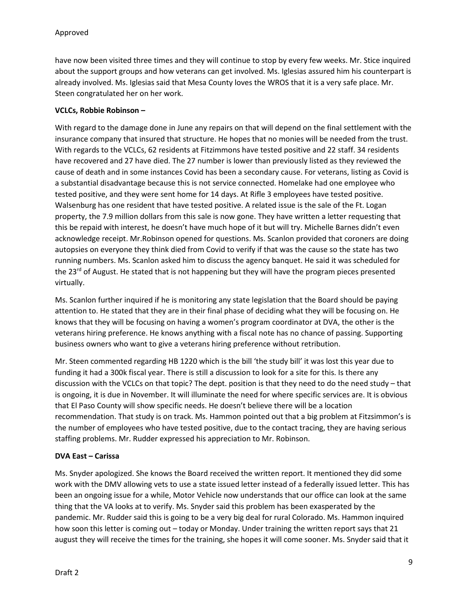have now been visited three times and they will continue to stop by every few weeks. Mr. Stice inquired about the support groups and how veterans can get involved. Ms. Iglesias assured him his counterpart is already involved. Ms. Iglesias said that Mesa County loves the WROS that it is a very safe place. Mr. Steen congratulated her on her work.

## **VCLCs, Robbie Robinson –**

With regard to the damage done in June any repairs on that will depend on the final settlement with the insurance company that insured that structure. He hopes that no monies will be needed from the trust. With regards to the VCLCs, 62 residents at Fitzimmons have tested positive and 22 staff. 34 residents have recovered and 27 have died. The 27 number is lower than previously listed as they reviewed the cause of death and in some instances Covid has been a secondary cause. For veterans, listing as Covid is a substantial disadvantage because this is not service connected. Homelake had one employee who tested positive, and they were sent home for 14 days. At Rifle 3 employees have tested positive. Walsenburg has one resident that have tested positive. A related issue is the sale of the Ft. Logan property, the 7.9 million dollars from this sale is now gone. They have written a letter requesting that this be repaid with interest, he doesn't have much hope of it but will try. Michelle Barnes didn't even acknowledge receipt. Mr.Robinson opened for questions. Ms. Scanlon provided that coroners are doing autopsies on everyone they think died from Covid to verify if that was the cause so the state has two running numbers. Ms. Scanlon asked him to discuss the agency banquet. He said it was scheduled for the 23<sup>rd</sup> of August. He stated that is not happening but they will have the program pieces presented virtually.

Ms. Scanlon further inquired if he is monitoring any state legislation that the Board should be paying attention to. He stated that they are in their final phase of deciding what they will be focusing on. He knows that they will be focusing on having a women's program coordinator at DVA, the other is the veterans hiring preference. He knows anything with a fiscal note has no chance of passing. Supporting business owners who want to give a veterans hiring preference without retribution.

Mr. Steen commented regarding HB 1220 which is the bill 'the study bill' it was lost this year due to funding it had a 300k fiscal year. There is still a discussion to look for a site for this. Is there any discussion with the VCLCs on that topic? The dept. position is that they need to do the need study – that is ongoing, it is due in November. It will illuminate the need for where specific services are. It is obvious that El Paso County will show specific needs. He doesn't believe there will be a location recommendation. That study is on track. Ms. Hammon pointed out that a big problem at Fitzsimmon's is the number of employees who have tested positive, due to the contact tracing, they are having serious staffing problems. Mr. Rudder expressed his appreciation to Mr. Robinson.

## **DVA East – Carissa**

Ms. Snyder apologized. She knows the Board received the written report. It mentioned they did some work with the DMV allowing vets to use a state issued letter instead of a federally issued letter. This has been an ongoing issue for a while, Motor Vehicle now understands that our office can look at the same thing that the VA looks at to verify. Ms. Snyder said this problem has been exasperated by the pandemic. Mr. Rudder said this is going to be a very big deal for rural Colorado. Ms. Hammon inquired how soon this letter is coming out – today or Monday. Under training the written report says that 21 august they will receive the times for the training, she hopes it will come sooner. Ms. Snyder said that it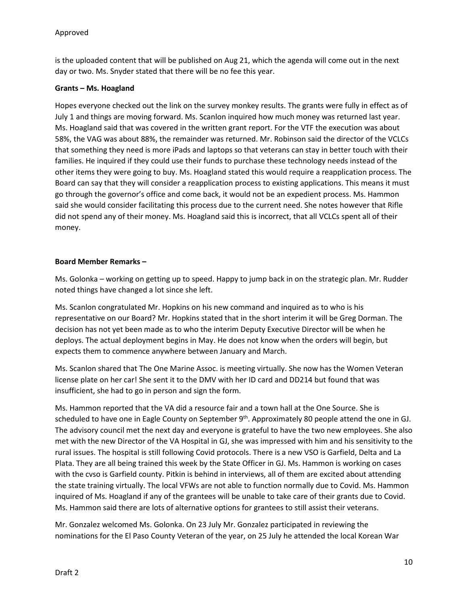is the uploaded content that will be published on Aug 21, which the agenda will come out in the next day or two. Ms. Snyder stated that there will be no fee this year.

## **Grants – Ms. Hoagland**

Hopes everyone checked out the link on the survey monkey results. The grants were fully in effect as of July 1 and things are moving forward. Ms. Scanlon inquired how much money was returned last year. Ms. Hoagland said that was covered in the written grant report. For the VTF the execution was about 58%, the VAG was about 88%, the remainder was returned. Mr. Robinson said the director of the VCLCs that something they need is more iPads and laptops so that veterans can stay in better touch with their families. He inquired if they could use their funds to purchase these technology needs instead of the other items they were going to buy. Ms. Hoagland stated this would require a reapplication process. The Board can say that they will consider a reapplication process to existing applications. This means it must go through the governor's office and come back, it would not be an expedient process. Ms. Hammon said she would consider facilitating this process due to the current need. She notes however that Rifle did not spend any of their money. Ms. Hoagland said this is incorrect, that all VCLCs spent all of their money.

## **Board Member Remarks –**

Ms. Golonka – working on getting up to speed. Happy to jump back in on the strategic plan. Mr. Rudder noted things have changed a lot since she left.

Ms. Scanlon congratulated Mr. Hopkins on his new command and inquired as to who is his representative on our Board? Mr. Hopkins stated that in the short interim it will be Greg Dorman. The decision has not yet been made as to who the interim Deputy Executive Director will be when he deploys. The actual deployment begins in May. He does not know when the orders will begin, but expects them to commence anywhere between January and March.

Ms. Scanlon shared that The One Marine Assoc. is meeting virtually. She now has the Women Veteran license plate on her car! She sent it to the DMV with her ID card and DD214 but found that was insufficient, she had to go in person and sign the form.

Ms. Hammon reported that the VA did a resource fair and a town hall at the One Source. She is scheduled to have one in Eagle County on September 9<sup>th</sup>. Approximately 80 people attend the one in GJ. The advisory council met the next day and everyone is grateful to have the two new employees. She also met with the new Director of the VA Hospital in GJ, she was impressed with him and his sensitivity to the rural issues. The hospital is still following Covid protocols. There is a new VSO is Garfield, Delta and La Plata. They are all being trained this week by the State Officer in GJ. Ms. Hammon is working on cases with the cvso is Garfield county. Pitkin is behind in interviews, all of them are excited about attending the state training virtually. The local VFWs are not able to function normally due to Covid. Ms. Hammon inquired of Ms. Hoagland if any of the grantees will be unable to take care of their grants due to Covid. Ms. Hammon said there are lots of alternative options for grantees to still assist their veterans.

Mr. Gonzalez welcomed Ms. Golonka. On 23 July Mr. Gonzalez participated in reviewing the nominations for the El Paso County Veteran of the year, on 25 July he attended the local Korean War